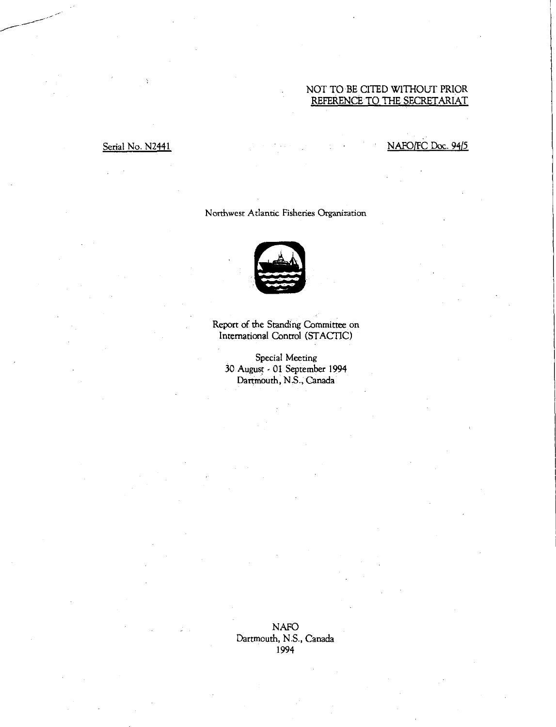## NOT TO BE CITED WITHOUT PRIOR REFERENCE TO THE SECRETARIAT

### Serial No. N2441 No. 12441 NAFO/FC Doc. 94/5

### Northwest Atlantic Fisheries Organization



Report of the Standing Committee on International Control (STACTIC)

Special Meeting 30 August - 01 September 1994 Dartmouth, N.S., Canada

NAFO Dartmouth, N.S., Canada 1994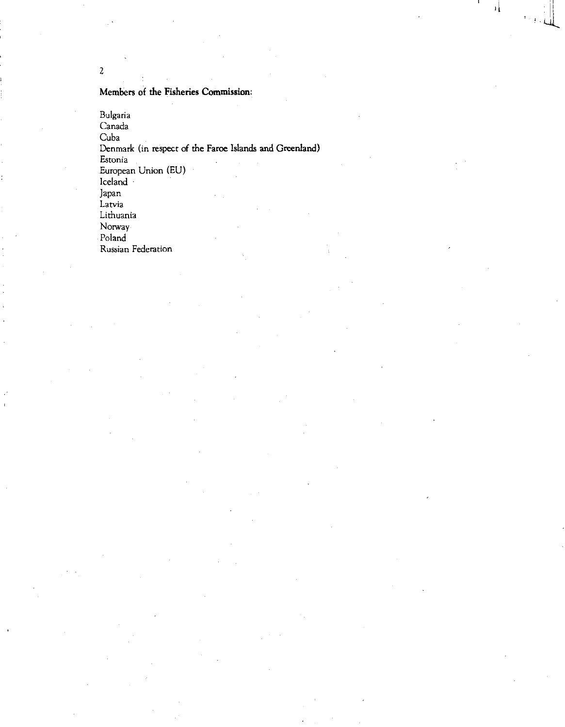Members of the Fisheries Commission:

Bulgaria Canada Cuba Denmark (in respect of the Faroe Islands and Greenland) Estonia European Union (EU) Iceland Japan Latvia Lithuania Norway Poland

it

ı.

Russian Federation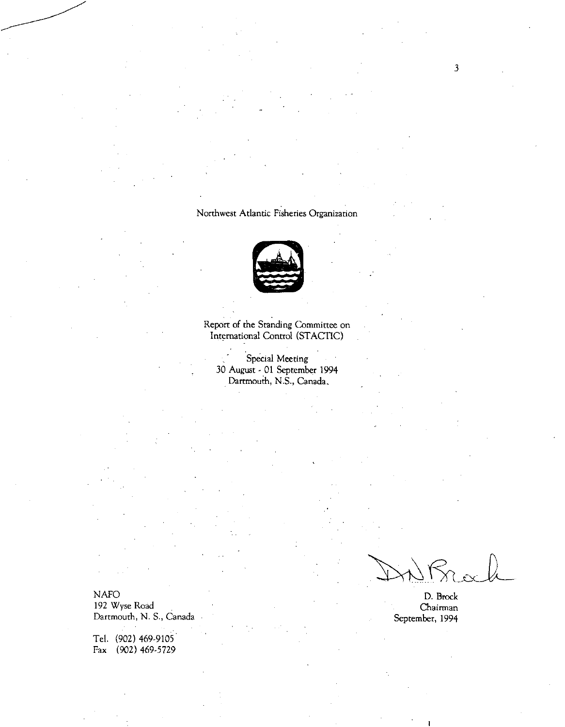## Northwest Atlantic Fisheries Organization



Report of the Standing Committee on International Control (STACTIC)

Special Meeting 30 August - 01 September 1994 Dartmouth, N.S., Canada,

NAFO D. Brock 192 Wyse Road Chairman<br>Dartmouth, N. S., Canada Chairman<br>September, 1994 Dartmouth, N. S., Canada

Tel. (902) 469-9105 Fax (902) 469-5729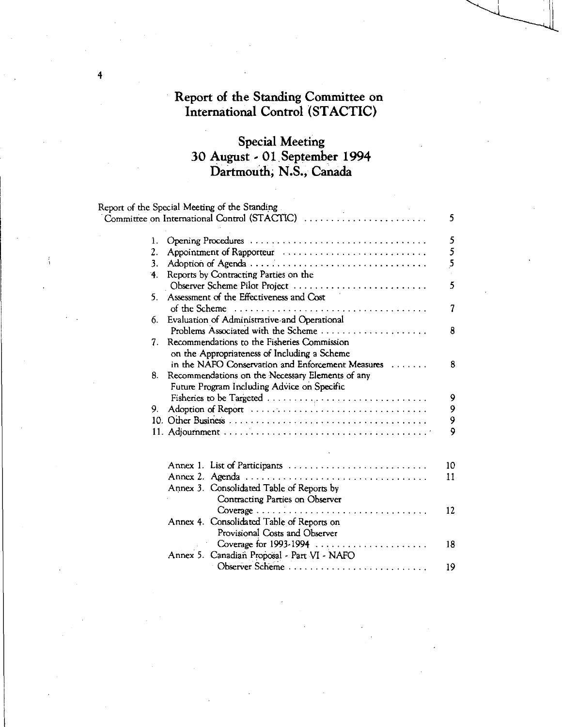# Report of the Standing Committee on International Control (STACTIC)

4

# Special Meeting 30 August - 01 September 1994 Dartmouth, N.S., Canada

|                  | Report of the Special Meeting of the Standing     |    |
|------------------|---------------------------------------------------|----|
|                  | Committee on International Control (STACTIC)      | 5  |
| 1.               | Opening Procedures                                | 5  |
| $\mathfrak{2}$ . | Appointment of Rapporteur                         | 5  |
| 3.               | Adoption of Agenda                                | 5  |
| 4.               | Reports by Contracting Parties on the             |    |
|                  | Observer Scheme Pilot Project                     | 5  |
| 5.               | Assessment of the Effectiveness and Cost          |    |
|                  |                                                   | 7  |
| 6.               | Evaluation of Administrative and Operational      |    |
|                  | Problems Associated with the Scheme               | 8  |
|                  | 7. Recommendations to the Fisheries Commission    |    |
|                  | on the Appropriateness of Including a Scheme      |    |
|                  | in the NAFO Conservation and Enforcement Measures | 8  |
| 8.               | Recommendations on the Necessary Elements of any  |    |
|                  | Future Program Including Advice on Specific       |    |
|                  |                                                   | 9  |
| 9.               | Adoption of Report                                | 9  |
|                  |                                                   | 9  |
|                  |                                                   | 9  |
|                  |                                                   |    |
|                  |                                                   |    |
|                  | Annex 1. List of Participants                     | 10 |
|                  |                                                   | 11 |
|                  | Annex 3. Consolidated Table of Reports by         |    |
|                  | Contracting Parties on Observer                   |    |
|                  |                                                   | 12 |
|                  | Annex 4. Consolidated Table of Reports on         |    |
|                  | Provisional Costs and Observer                    |    |
|                  |                                                   | 18 |
|                  | Annex 5. Canadian Proposal - Part VI - NAFO       |    |
|                  | Observer Scheme                                   | 19 |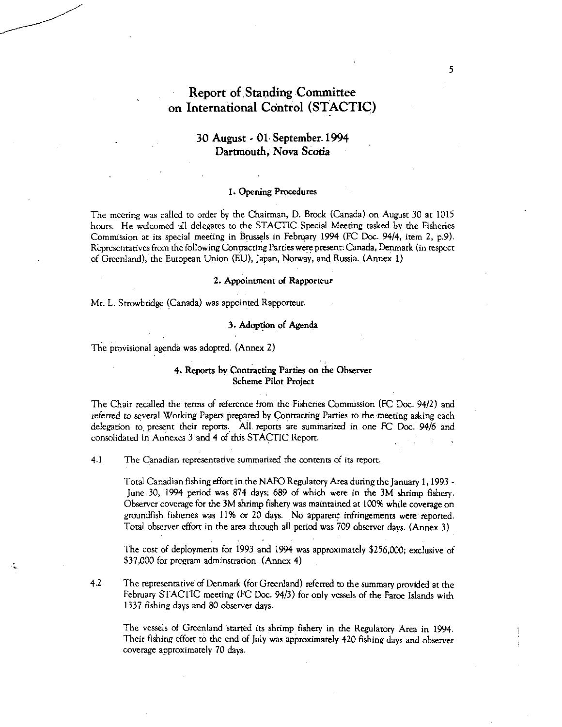## Report of Standing Committee on International Control (STACTIC)

## 30 August - 01, September.1994 Dartmouth, Nova Scotia

### 1. Opening Procedures

The meeting was called to order by the Chairman, D. Brock (Canada) on August 30 at 1015 hours. He welcomed all delegates to the STACTIC Special Meeting tasked by the Fisheries Commission at its special meeting in Brussels in February 1994 (FC Doc. 94/4, item 2, p.9). Representatives from the following Contracting Parties were present: Canada, Denmark (in respect of Greenland), the European Union (EU), Japan, Norway, and Russia. (Annex 1)

### 2. Appointment of Rapporteur

Mr. L. Strowbridge (Canada) was appointed Rapporteur.

### 3. Adoption of Agenda

The provisional agenda was adopted. (Annex 2)

### 4. Reports by Contracting Parties on the Observer Scheme Pilot Project

The Chair recalled the terms of reference from the Fisheries Commission (FC Doc. 94/2) and referred to several Working Papers prepared by Contracting Parties to the meeting asking each delegation to, present their reports. All, reports are summarized in one FC Doc. 94/6 and consolidated in Annexes 3 and 4 of this STACTIC Report.

4.1 The Canadian representative summarized the contents of its report.

Total Canadian fishing effort in the NAFO Regulatory Area during the January 1, 1993 - June 30, 1994 period was 874 days; 689 of which were in the 3M shrimp fishery. Observer coverage for the 3M shrimp fishery was maintained at 100% while coverage on groundfish fisheries was I I% or 20 days. No apparent infringements were reported. Total observer effort in the area through all period was 709 observer days. (Annex 3)

The cost of deployments for 1993 and 1994 was approximately \$256,000; exclusive of \$37,000 for program adminstration. (Annex 4)

4.2 The representative of Denmark (for Greenland) referred to the summary provided at the February STACTIC meeting (FC Doc. 94/3) for only vessels of the Faroe Islands with 1337 fishing days and 80 observer days.

The vessels of Greenland started its shrimp fishery in the Regulatory Area in 1994. Their fishing effort to the end of July was approximately 420 fishing days and observer coverage approximately 70 days.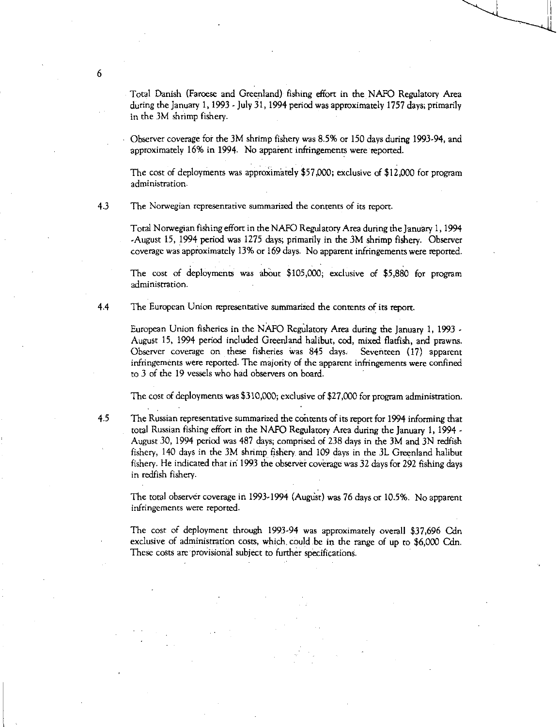Total Danish (Faroese and Greenland) fishing effort in the NAFO Regulatory Area during the January 1, 1993 - July 31, 1994 period was approximately 1757 days; primarily in the 3M shrimp fishery.

Observer coverage for the 3M shrimp fishery was 8.5% or 150 days during 1993-94, and approximately 16% in 1994. No apparent infringements were reported.

The cost of deployments was approXimately \$57,000; exclusive of \$12,000 for program administration.

4.3 The Norwegian representative summarized the contents of its report.

Total Norwegian fishing effort in the NAFO Regulatory Area during the January 1, 1994 -August 15, 1994 period was 1275 days; primarily in the 3M shrimp fishery. Observer coverage was approximately 13% or 169 days. No apparent infringements were reported.

The cost of deployments was about \$105,000; exclusive of \$5,880 for program administration.

4.4 The European Union representative summarized the contents of its report.

European Union fisheries in the NAFO Reguiatory Area during the January 1, 1993 - August 15, 1994 period included Greenland halibut, cod, mixed flatfish, and prawns. Observer coverage on these fisheries was 845 days. Seventeen (17) apparent infringements were reported. The majority of the apparent infringements were confined to 3 of the 19 vessels who had observers on board.

The cost of deployments was \$310,000; exclusive of \$27,000 for program administration.

4.5 The Russian representative summarized the contents of its report for 1994 informing that total Russian fishing effort in the NAFO Regulatory Area during the January 1, 1994 - August 30, 1994 period was 487 days; comprised of 238 days in the 3M and 3N redfish fishery, 140 days in the 3M shrimp fishery, and 109 days in the 3L Greenland halibut fishery. He indicated that in 1993 the observer coverage was 32 days for 292 fishing days in redfish fishery.

The total observer coverage in 1993-1994 (August) was 76 days or 10.5%. No apparent infringements were reported.

The cost of deployment through 1993-94 was approximately overall \$37,696 Cdn exclusive of administration costs, which, could be in the range of up to \$6,000 Cdn. These costs are provisional subject to further specifications.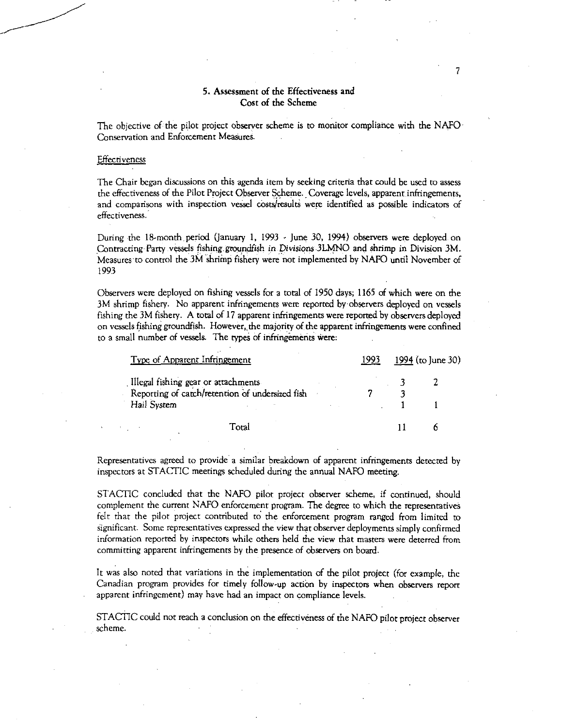### **5. Assessment of the Effectiveness and Cost of the Scheme**

**7** 

**The objective of the pilot project observer scheme is to monitor compliance with the NAFO Conservation and Enforcement Measures.** 

### **Effectiveness**

**The Chair began discussions on this agenda item by seeking criteria that could be used to assess the effectiveness of the Pilot Project Observer Scheme. Coverage levels, apparent infringements,**  and comparisons with inspection vessel costs/results were identified as possible indicators of **effectiveness.** 

**During the 18-month period (January 1, 1993 - June 30, 1994) observers were deployed on Contracting Party vessels fishing .groundfish in** *Divisions* **31.MNO and shrimp in Division 3M. Measures to control the 3M shriinp fishery were not implemented by NAFO until November of 1993** 

**Observers were deployed on fishing vessels for a total of 1950 days; 1165 of which were on the 3M shrimp fishery. No apparent infringements were reported by observers deployed on vessels fishing the 3M fishery. A total of 17 apparent infringements were reported by observers deployed on vessels fishing groundfish. However, the majority of the apparent infringements were confined**  to a small number of vessels. The types of infringements were:

| Type of Apparent Infringement                                                          |         |  |  | 1994 (to June 30) |  |  |
|----------------------------------------------------------------------------------------|---------|--|--|-------------------|--|--|
| Illegal fishing gear or attachments<br>Reporting of catch/retention of undersized fish |         |  |  |                   |  |  |
| Hail System                                                                            |         |  |  |                   |  |  |
|                                                                                        | - Γora! |  |  |                   |  |  |

**Representatives agreed to provide a similar breakdown of apparent infringements detected by inspectors at STACTIC meetings scheduled during the annual NAFO meeting.** 

**STACTIC concluded that the NAFO pilot project observer scheme, if continued, should complement the current NAFO enforcement program. The degree to which the representatives felt that the pilot project contributed to the enforcement program ranged from limited to significant. Some representatives expressed the view that observer deployments simply confirmed information reported by inspectors while others held the view that masters were deterred from committing apparent infringements by the presence of observers on board.** 

**It was also noted that variations in the implementation of the pilot project (for example, the Canadian program provides for timely follow-up action by inspectors when observers report apparent infringement) may have had an impact on compliance levels.** 

STACTIC could not reach a conclusion on the effectiveness of the NAFO pilot project observer **scheme.**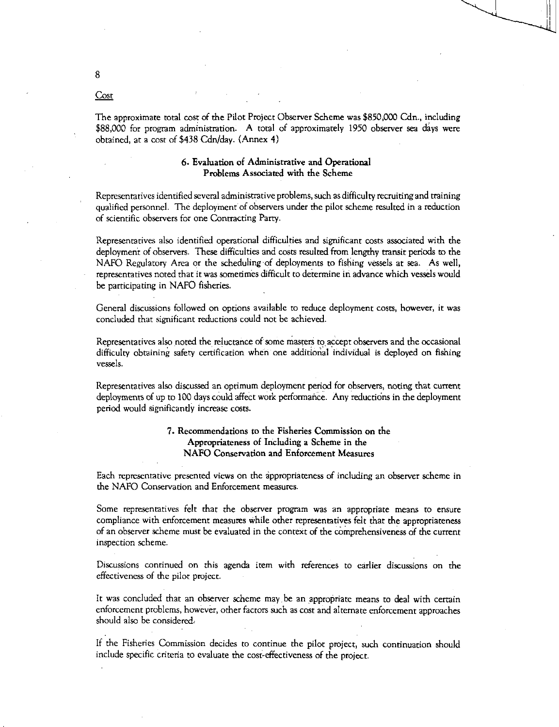The approximate total cost of the Pilot Project Observer Scheme was \$850,000 Cdn., including \$88,000 for program administration. A total of approximately 1950 observer sea days were obtained, at a cost of \$438 Cdn/day. (Annex 4)

### 6. Evaluation of Administrative and Operational Problems Associated with the Scheme

Representatives identified several administrative problems, such as difficulty recruiting and training qualified personnel. The deployment of observers under the pilot scheme resulted in a reduction of scientific observers for one Contracting Party.

Representatives also identified operational difficulties and significant costs associated with the deployment of observers. These difficulties and costs resulted from lengthy transit periods to the NAFO Regulatory Area or the scheduling of deployments to fishing vessels at sea. As well, representatives noted that it was sometimes difficult to determine in advance which vessels would be participating in NAFO fisheries.

General discussions followed on options available to reduce deployment costs, however, it was concluded that significant reductions could not be achieved.

Representatives also noted the reluctance of some masters to accept observers and the occasional difficulty obtaining safety certification when one additional individual is deployed on fishing vessels.

Representatives also discussed an optimum deployment period for observers, noting that current deployments of up to 100 days could affect work performance. Any reductions in the deployment period would significantly increase costs.

### 7. Recommendations to the Fisheries Commission on the Appropriateness of Including a Scheme in the NAFO Conservation and Enforcement Measures

Each representative presented views on the appropriateness of including an observer scheme in the NAFO Conservation and Enforcement measures.

Some representatives felt that the observer program was an appropriate means to ensure compliance with enforcement measures while other representatives felt that the appropriateness of an observer scheme must be evaluated in the context of the comprehensiveness of the current inspection scheme.

Discussions continued on this agenda item with references to earlier discussions on the effectiveness of the pilot project.

It was concluded that an observer scheme may be an appropriate means to deal with certain enforcement problems, however, other factors such as cost and alternate enforcement approaches should also be considered:

If the Fisheries Commission decides to continue the pilot project, such continuation should include specific criteria to evaluate the cost-effectiveness of the project.

### Cost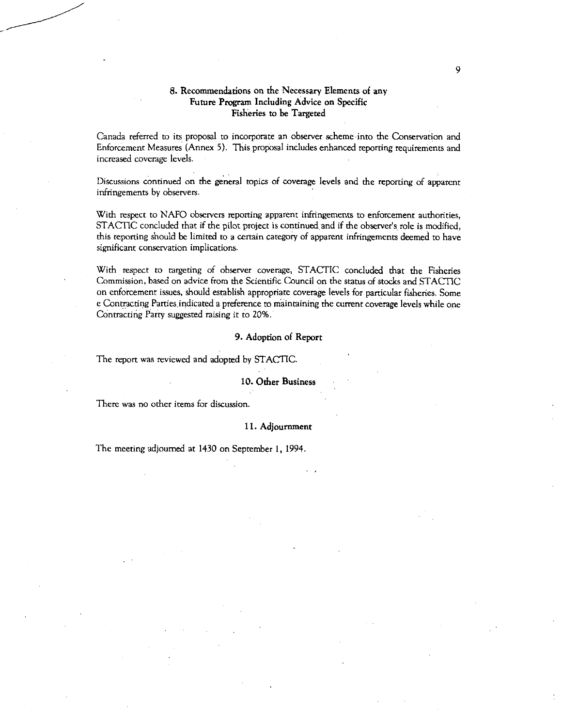### **8. Recommendations on the Necessary Elements of any Future Program Including Advice on Specific Fisheries to be Targeted**

Canada referred to its proposal to incorporate an observer scheme into the Conservation and Enforcement Measures (Annex 5). This proposal includes enhanced reporting requirements and increased coverage levels.

Discussions continued on the general topics of coverage levels and the reporting of apparent infringements by observers.

With respect to NAFO observers reporting apparent infringements to enforcement authorities, STACTIC concluded that if the pilot project is continued and if the observer's role is modified, this reporting should be limited to a certain category of apparent infringements deemed to have significant conservation implications.

With respect to targeting of observer coverage, STACTIC concluded that the Fisheries Commission, based on advice from the Scientific Council on the status of stocks and STACTIC on enforcement issues, should establish appropriate coverage levels for particular fisheries. Some e Contracting Parties, indicated a preference to maintaining the current coverage levels while one COntracting Party suggested raising it to 20%.

### **9. Adoption of Report**

The report was reviewed and adopted by STACTIC.

### **10. Other Business**

There was no other items for discussion.

### **11. Adjournment**

The meeting adjourned at 1430 on September 1, 1994.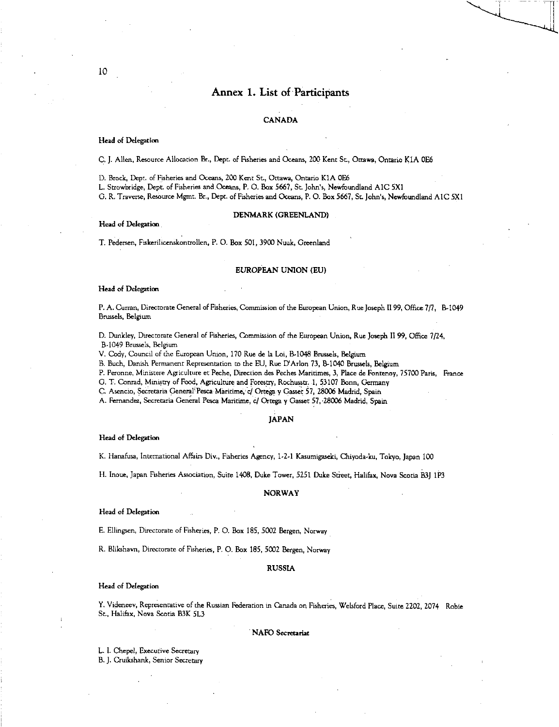### Annex 1. List of Participants

### CANADA

#### Head of Delegation

C. J. Allen, Resource Allocation Br., Dept. of Fisheries and Oceans, 200 Kent St, Ottawa, Ontario KIA 0E6

D. Brock, Dept. of Fisheries and Oceans, 200 Kent St., Ottawa, Ontario KIA 0E6

L. Strowbridge, Dept. of Fisheries and Oceans, P. O. Box 5667, St. John's, Newfoundland A1C 5X1 G. R. Traverse, Resource Mgmt. Br., Dept. of Fisheries and Oceans, P. 0. Box 5667, Sr. John's, Newfoundland A1C 5X1

### DENMARK (GREENLAND)

### Head of Delegation

T. Pedersen, Fiskerilicenskontrollen, P. O. Box 501, 3900 Nuuk, Greenland

#### EUROPEAN UNION (EU)

#### Head of Delegation

P. A. Curran, Directorate General of Fisheries, Commission of the European Union, Rue Joseph II 99, Office 7/7, B-1049 Brussels, Belgium

D. Dunkley, Directorate General of Fisheries, Commission of the European Union, Rue Joseph II 99, Office 7/24, B-1049 Brussels, Belgium

V. Cody, Council of the European Union, 170 Rue de la Loi, B-1048 Brussels, Belgium

B. Buch, Danish Permanent Representation to the EU, Rue D'Arlon 73, B-1040 Brussels, Belgium

P. Peronne, Ministere Agriculture et Peche, Direction des Peches Maritimes, 3, Place de Fontenoy, 75700 Paris, France

G. T. Conrad, Ministry of Food, Agriculnire and Forestry, Rochusstr. 1, 53107 Bonn, Germany

C. Asencio, Secretaria General Pesca Maritime, c/ Ortega y Gasser 57, 28006 Madrid, Spain

A. Fernandez, Secretaria General Pesca Maritime, c/ Ortega y Gasset 57, 28006 Madrid, Spain

### JAPAN

#### Head of Delegation

K. Hanafusa, International Affairs Div., Fisheries Agency, 1.2-1 Kasumigaseki, Chiyoda-ku, Tokyo, Japan 100

H. Inoue, Japan Fisheries Association, Suite 1408, Duke Tower, 5251 Duke Street, Halifax, Nova Scotia B3J 1P3

#### NORWAY

### Head of Delegation

E. Ellingsen, Directorate of Fisheries, P. 0. Box 185, 5002 Bergen, Norway

R. Blikshavn, Directorate of Fisheries, P. 0. Box 185, 5002 Bergen, Norway

#### RUSSIA

#### Head of Delegation

Y. Videneev, Representative of the Russian Federation in Canada on Fisheries, Welsford Place, Suite 2202, 2074 Robie St, Halifax, Nova Scotia B3K 513

#### NAFO Secretariat

L. I. Chepel, Executive Secretary

B. J. Cruikshank, Senior Secretary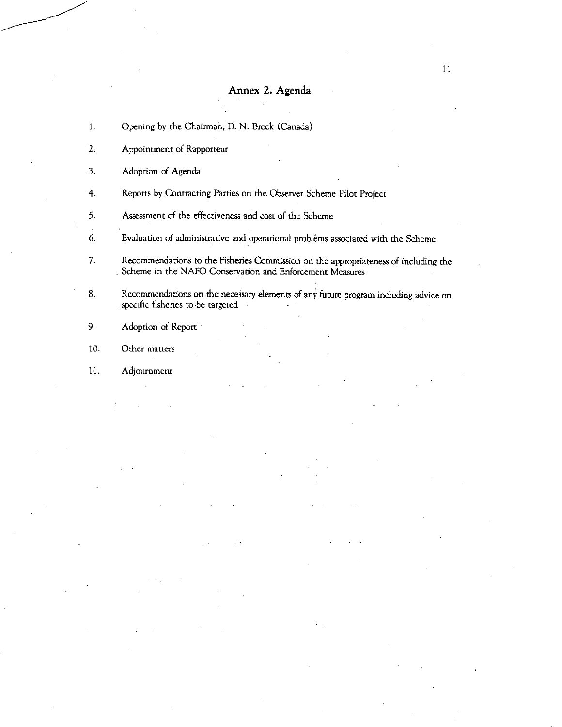## Annex 2. Agenda

- 1. Opening by the Chairman, D. N. Brock (Canada)
- 2. Appointment of Rapporteur
- 3. Adoption of Agenda
- 4. Reports by Contracting Parties on the Observer Scheme Pilot Project
- 5. Assessment of the effectiveness and cost of the Scheme
- 6. Evaluation of administrative and operational problems associated with the Scheme
- 7. Recommendations to the Fisheries Commission on the appropriateness of including the Scheme in the NAFO Conservation and Enforcement Measures
- 8. Recommendations on the necessary elements of any future program including advice on specific fisheries to be targeted
- 9. Adoption of Report
- 10. Other matters
- 11. Adjournment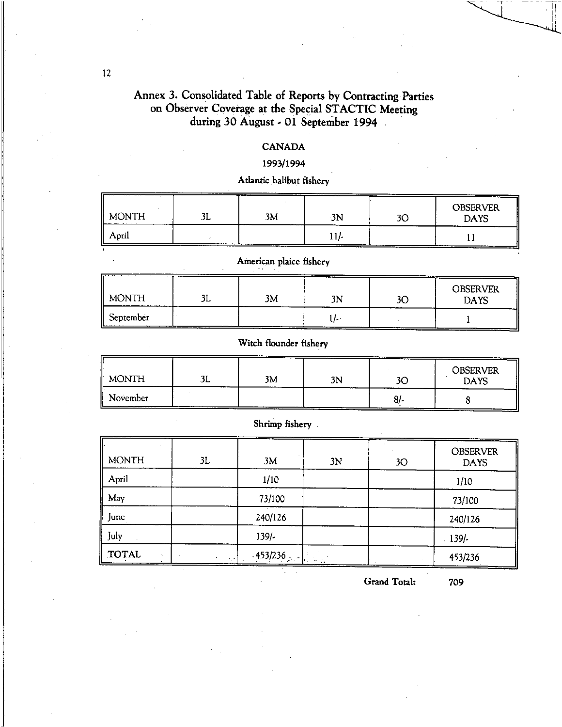# Annex 3. Consolidated Table of Reports by Contracting Parties on Observer Coverage at the Special STACTIC Meeting during 30 August - 01 September 1994

### CANADA

### 1993/1994

Atlantic halibut fishery

| $\parallel$ MONTH | יי<br>JL        | 3M<br>---- | 3N | ገጦ | ----<br><b>OBSERVER</b><br><b>DAYS</b> |
|-------------------|-----------------|------------|----|----|----------------------------------------|
| April<br>II.      | --------------- | ------     | .  |    |                                        |

American plaice fishery

| $\parallel$ MONTH | . .<br>سال | ----------<br>-----<br>3M | 3N | -----<br>ЗC | <b>OBSERVER</b><br><b>DAYS</b> |
|-------------------|------------|---------------------------|----|-------------|--------------------------------|
| September<br>ii   |            |                           |    |             |                                |

## Witch flounder fishery

| $\parallel$ MONTH      | سلالۍ | ---<br>----<br>3M | -----<br>3N | -------<br>ЗC | -----<br><b>OBSERVER</b><br><b>DAYS</b> |
|------------------------|-------|-------------------|-------------|---------------|-----------------------------------------|
| November<br>__________ |       |                   |             | .             |                                         |

### Shrimp fishery

| <b>MONTH</b> | 3L       | 3M         | 3N | 3 <sub>O</sub> | <b>OBSERVER</b><br><b>DAYS</b> |
|--------------|----------|------------|----|----------------|--------------------------------|
| April        |          | 1/10       |    |                | 1/10                           |
| May          |          | 73/100     |    |                | 73/100                         |
| June         |          | 240/126    |    |                | 240/126                        |
| July         |          | $139/-$    |    |                | 139/                           |
| TOTAL        | $\cdots$ | $-453/236$ |    |                | 453/236                        |

Grand Total: 709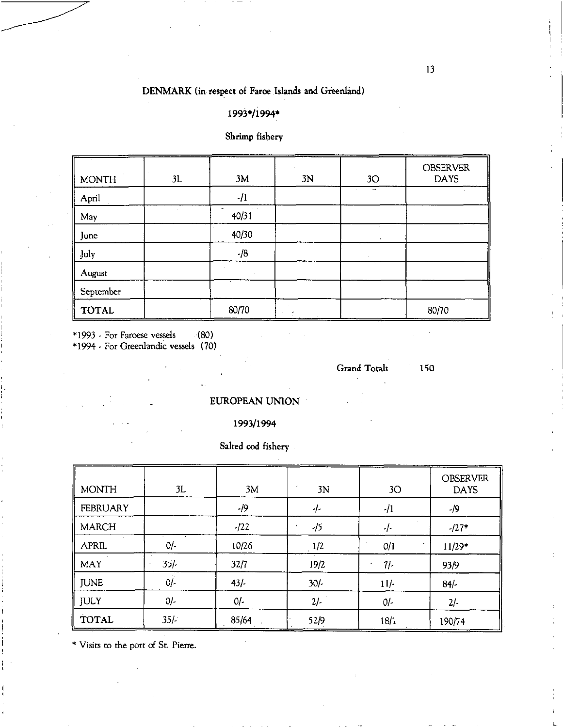## DENMARK (in respect of Faroe Islands and Greenland)

## 1993\*/1994\*

## Shrimp fishery

| II<br><b>MONTH</b> | 3L | 3M    | 3N | 3 <sub>O</sub> | <b>OBSERVER</b><br><b>DAYS</b> |
|--------------------|----|-------|----|----------------|--------------------------------|
| April              |    | $-11$ |    | ÷.             |                                |
| May                |    | 40/31 |    |                |                                |
| June               |    | 40/30 |    |                |                                |
| July               |    | $-18$ |    |                |                                |
| August             |    |       |    |                |                                |
| September          |    |       |    |                |                                |
| <b>TOTAL</b>       |    | 80/70 |    |                | 80/70                          |

\*1993 - For Faroese vessels (80)

\*1994 - For Greenlandic vessels (70)

Grand Total: 150

EUROPEAN UNION

## 1993/1994

Salted cod fishery

| <b>MONTH</b>               | 3L                | 3M     | 3N     | 3O     | <b>OBSERVER</b><br><b>DAYS</b> |
|----------------------------|-------------------|--------|--------|--------|--------------------------------|
| <b>FEBRUARY</b>            |                   | -19    | -1-    | $-11$  | $-19$                          |
| <b>MARCH</b>               |                   | $-122$ | $-15$  | -1-    | $-127*$                        |
| APRIL                      | O/                | 10/26  | 1/2    | O/1    | $11/29*$                       |
| $\mathbf{u}$<br><b>MAY</b> | $35/-$<br>$\cdot$ | 32/7   | 19/2   | 7/     | 93/9                           |
| <b>JUNE</b>                | $0/-$             | $43/-$ | $30/-$ | $11/-$ | 84/                            |
| <b>JULY</b>                | $O/-$             | $0/-$  | $2/-$  | $0/-$  | $2/-$                          |
| <b>TOTAL</b>               | $35/-$            | 85/64  | 52/9   | 18/1   | 190/74                         |

\* Visits to the port of St. Pierre.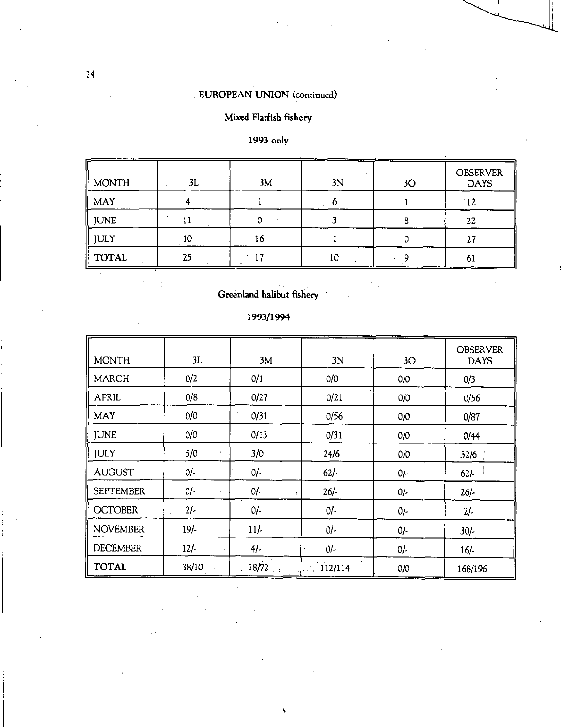## EUROPEAN UNION (continued)

## Mixed Flatfish fishery

## 1993 only

| <b>MONTH</b> | 3L | 3M | 3N | 3O | <b>OBSERVER</b><br><b>DAYS</b> |
|--------------|----|----|----|----|--------------------------------|
| MAY          |    |    |    |    | 12                             |
| <b>JUNE</b>  |    |    |    |    | 22                             |
| JULY         | ١C | 16 |    |    | 27                             |
| <b>TOTAL</b> | 25 | Ð  | 10 |    | 61                             |

## Greenland halibut fishery

## 1993/1994

 $\ddot{\phantom{a}}$ 

| <b>MONTH</b>     | 3L                    | 3M                 | 3N      | 3O    | <b>OBSERVER</b><br><b>DAYS</b> |
|------------------|-----------------------|--------------------|---------|-------|--------------------------------|
| <b>MARCH</b>     | 0/2                   | O/1                | 0/0     | O/O   | 0/3                            |
| <b>APRIL</b>     | O/8                   | 0/27               | O/21    | O/O   | 0/56                           |
| <b>MAY</b>       | O/O                   | 0/31               | 0/56    | O/O   | 0/87                           |
| <b>JUNE</b>      | O/O                   | 0/13               | 0/31    | O/O   | 0/44                           |
| <b>JULY</b>      | 5/0                   | 3/0                | 24/6    | 0/0   | 32/6                           |
| <b>AUGUST</b>    | $O/-$                 | $0/-$              | 62/     | $O/-$ | $62/-$                         |
| <b>SEPTEMBER</b> | $0/-$<br>$\mathbf{t}$ | 0/-                | $26/-$  | $0/-$ | $26/-$                         |
| <b>OCTOBER</b>   | $2/-$                 | $0/-$              | $0/-$   | 01-   | $2/-$                          |
| <b>NOVEMBER</b>  | $19/-$                | $11/-$             | $0/-$   | 0/-   | $30/-$                         |
| <b>DECEMBER</b>  | $12/-$                | $4/-$              | $0/-$   | $0/-$ | $16/-$                         |
| <b>TOTAL</b>     | 38/10                 | $\therefore$ 18/72 | 112/114 | O/O   | 168/196                        |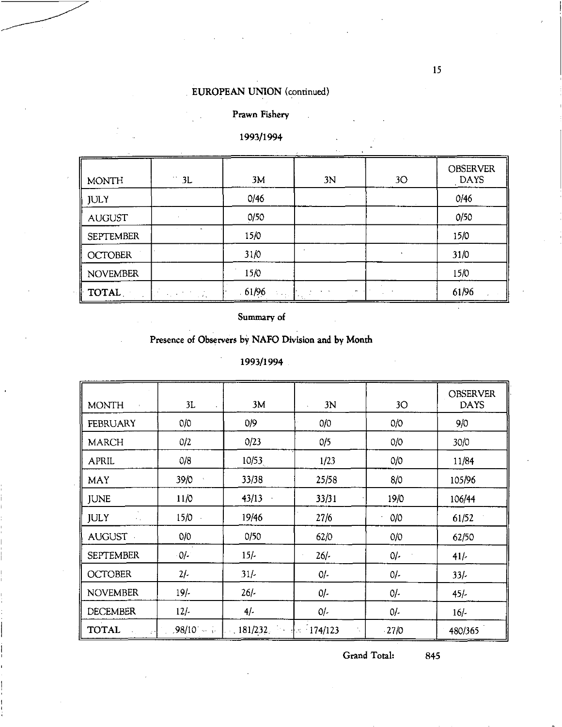# EUROPEAN UNION (continued)

## Prawn Fishery

## 1993/1994

| <b>MONTH</b>     | $\cdot$<br>3L | 3M             | 3N | 3O | <b>OBSERVER</b><br><b>DAYS</b> |
|------------------|---------------|----------------|----|----|--------------------------------|
| <b>JULY</b>      |               | 0/46           |    |    | 0/46                           |
| <b>AUGUST</b>    |               | 0/50           |    |    | 0/50                           |
| <b>SEPTEMBER</b> |               | 15/0           |    |    | 15/0                           |
| <b>OCTOBER</b>   |               | 31/0           |    |    | 31/0                           |
| <b>NOVEMBER</b>  |               | 15/0           |    |    | 15/0                           |
| TOTAL            | <b>医原子的</b>   | .61/96<br>医细胞炎 | -  |    | 61/96                          |

Summary of

## Presence of Observers by NAFO Division and by Month

1993/1994

| <b>MONTH</b><br>$\sim 8$          | 3L                   | 3M                                              | 3N     | 3 <sub>O</sub> | <b>OBSERVER</b><br><b>DAYS</b> |
|-----------------------------------|----------------------|-------------------------------------------------|--------|----------------|--------------------------------|
| <b>FEBRUARY</b>                   | 0/0                  | 0/9                                             | 0/0    | O/O            | 9/0                            |
| <b>MARCH</b>                      | 0/2                  | 0/23                                            | 0/5    | O/O            | 30/0                           |
| <b>APRIL</b>                      | 0/8                  | 10/53                                           | 1/23   | O/O            | 11/84                          |
| MAY                               | 39/0<br>$\mathbf{t}$ | 33/38                                           | 25/58  | 8/0            | 105/96                         |
| <b>JUNE</b>                       | 11/0                 | 43/13<br>$\cdot$                                | 33/31  | 19/0           | 106/44                         |
| <b>JULY</b><br>$\sim 10$          | 15/0                 | 19/46                                           | 27/6   | O/O            | 61/52                          |
| AUGUST -                          | O/O                  | 0/50                                            | 62/0   | O/O            | 62/50                          |
| <b>SEPTEMBER</b>                  | $0/-$                | $15/-$                                          | $26/-$ | $0/-$          | 41/7                           |
| <b>OCTOBER</b>                    | $2/-$                | $31/-$                                          | $0/-$  | $0/-$          | 33/                            |
| <b>NOVEMBER</b>                   | 19/                  | $26/-$                                          | $0/-$  | O/I            | $45/-$                         |
| <b>DECEMBER</b>                   | $12/-$               | 4/                                              | $O/-$  | $0/-$          | $16/-$                         |
| <b>TOTAL</b><br>-24<br>$\sim 100$ |                      | $.98/10$ and 181/232, in $\frac{1}{10}$ 174/123 |        | $-27/0$        | 480/365                        |

Grand Total: 845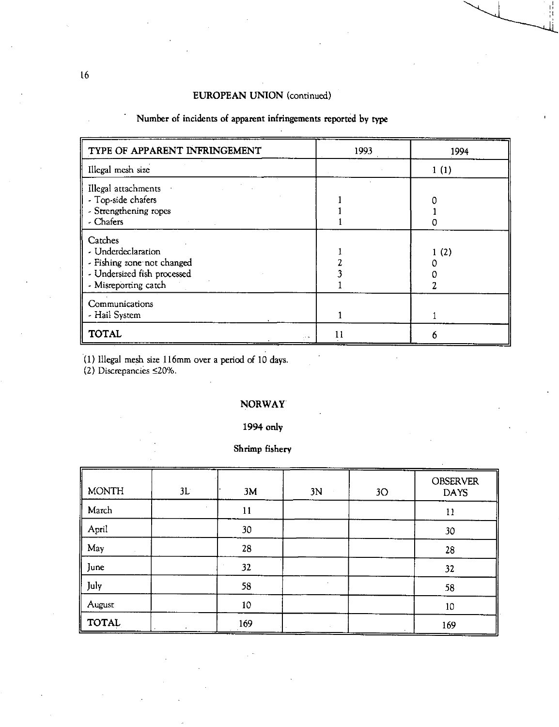## EUROPEAN UNION (continued)

| TYPE OF APPARENT INFRINGEMENT                                                                                      | 1993 | 1994 |
|--------------------------------------------------------------------------------------------------------------------|------|------|
| Illegal mesh size                                                                                                  |      | 1(1) |
| Illegal attachments<br>- Top-side chafers<br>- Strengthening ropes<br>- Chafers                                    |      |      |
| Catches<br>- Underdeclaration<br>- Fishing zone not changed<br>- Undersized fish processed<br>- Misreporting catch |      | 1(2) |
| Communications<br>- Hail System                                                                                    |      |      |
| <b>TOTAL</b><br>$-1 - 46$                                                                                          |      |      |

(1) Illegal mesh size 116mm over a period of 10 days.

 $(2)$  Discrepancies  $\leq$ 20%.

## NORWAY

1994 only

## Shrimp fishery

| <b>MONTH</b> | 3L | 3M  | 3N | 3O | <b>OBSERVER</b><br><b>DAYS</b> |
|--------------|----|-----|----|----|--------------------------------|
| March        |    | 11  |    |    | 11                             |
| April        |    | 30  |    |    | 30                             |
| May          |    | 28  |    |    | 28                             |
| June         |    | 32  |    |    | 32                             |
| July         |    | 58  |    |    | 58                             |
| August       |    | 10  |    |    | 10                             |
| <b>TOTAL</b> |    | 169 |    |    | 169                            |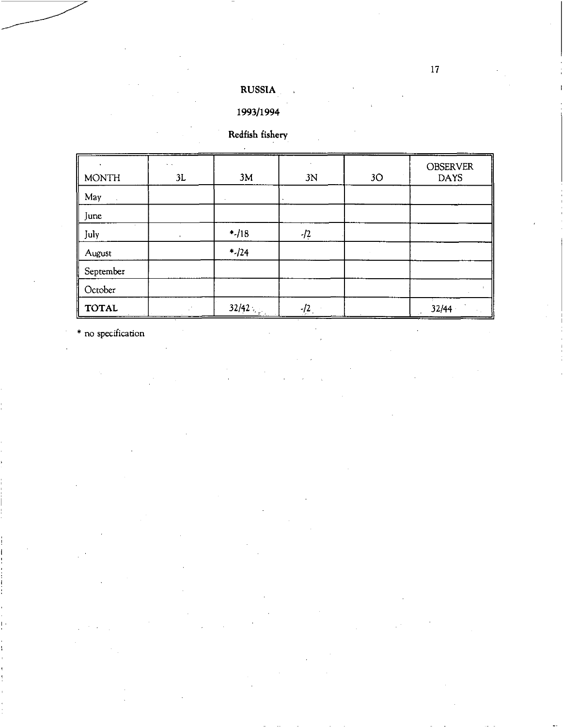## **RUSSIA**

# **1993/1994**

# **Redfish fishery**

| $\ddot{\phantom{1}}$<br><b>MONTH</b> | $\sim$ $\sim$<br>3L | 3M     | 3N    | 3O | <b>OBSERVER</b><br><b>DAYS</b> |
|--------------------------------------|---------------------|--------|-------|----|--------------------------------|
| May                                  |                     |        |       |    |                                |
| June                                 |                     |        |       |    |                                |
| $\sim$<br>July                       |                     | $-.18$ | $-12$ |    |                                |
| August                               |                     | $*124$ |       |    |                                |
| September                            |                     |        |       |    |                                |
| October                              |                     |        |       |    |                                |
| <b>TOTAL</b>                         |                     | 32/42  | $-12$ |    | 32/44                          |

\* no specification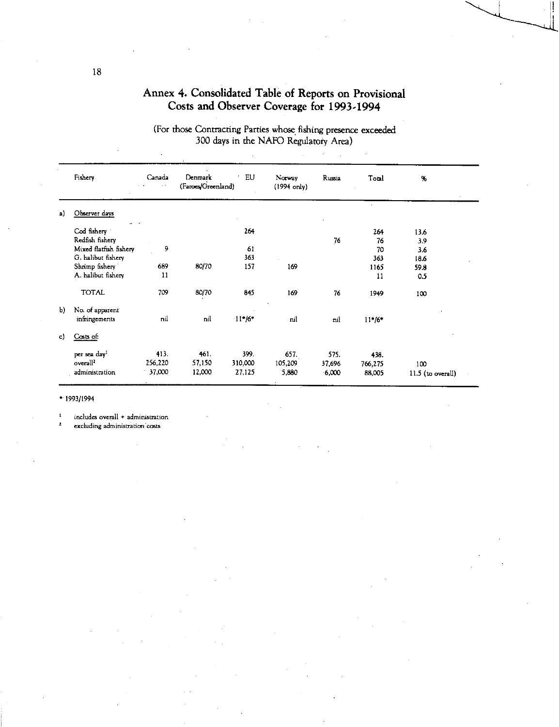|                                           | Annex 4. Consolidated Table of Reports on Provisional |
|-------------------------------------------|-------------------------------------------------------|
| Costs and Observer Coverage for 1993-1994 |                                                       |

|    | Fishery                  | Canada<br>$\sim$ | Denmark<br>(Faroes/Greenland) | EU       | Norway<br>$(1994 \text{ only})$ | Russia | Total    | %                 |  |
|----|--------------------------|------------------|-------------------------------|----------|---------------------------------|--------|----------|-------------------|--|
| a) | Observer days            |                  |                               |          |                                 |        |          |                   |  |
|    | - -<br>Cod fishery       |                  |                               | 264      |                                 |        | 264      | 13.6              |  |
|    | Redfish fishery          |                  |                               |          |                                 | 76     | 76       | 3.9               |  |
|    | Mixed flatfish fishery   | 9                |                               | 61       |                                 |        | 70       | 3.6               |  |
|    | G. halibut fishery       |                  |                               | 363      |                                 |        | 363      | 18.6              |  |
|    | Shrimp fishery           | 689              | 80/70                         | 157      | 169                             |        | 1165     | 59.8              |  |
|    | A. halibut fishery       | 11               |                               |          |                                 |        | 11       | 0.5               |  |
|    | <b>TOTAL</b>             | 709              | 80/70                         | 845      | 169                             | 76     | 1949     | 100               |  |
| Ъ) | No. of apparent          |                  |                               |          |                                 |        |          |                   |  |
|    | infringements            | nil              | nil                           | $11*/6*$ | nil                             | nii    | $11*/6*$ |                   |  |
| c) | Costs of:                |                  |                               |          |                                 |        |          |                   |  |
|    | per sea day <sup>1</sup> | 413.             | 461.                          | 399.     | 657.                            | 575.   | 438.     |                   |  |
|    | overall <sup>2</sup>     | 256,220          | 57,150                        | 310,000  | 105,209                         | 37,696 | 766,275  | 100               |  |
|    | administration           | $-37,000$        | 12,000                        | 27,125   | 5,880                           | 6,000  | 88,005   | 11.5 (to overall) |  |

(For those Contracting Parties whose fishing presence exceeded 300 days in the NAFO Regulatory Area)

• 1993/1994

 $\frac{1}{2}$  includes overall + administration

excluding administration costs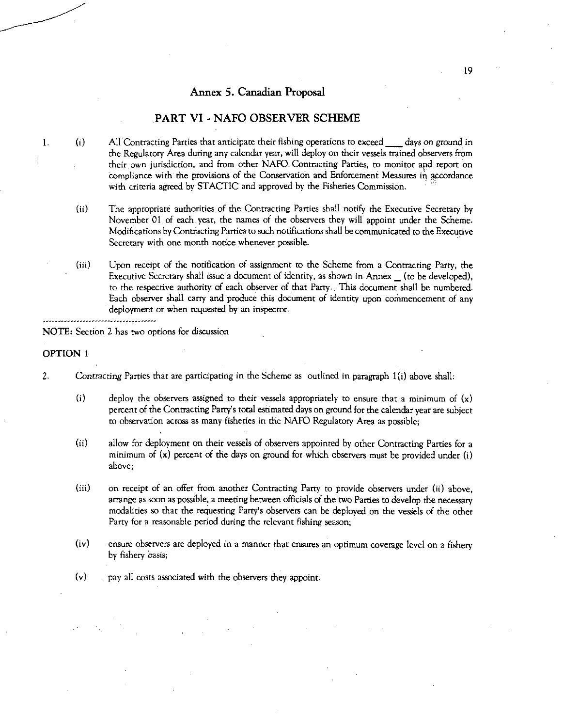### Annex 5. Canadian Proposal

### PART VI - NAFO OBSERVER SCHEME

- 1. (i) All Contracting Parties that anticipate their fishing operations to exceed days on ground in the Regulatory Area during any calendar year, will deploy on their vessels trained observers from their own jurisdiction, and from other NAFO. Contracting Parties, to monitor and report on compliance with the provisions of the Conservation and Enforcement Measures in accordance with criteria agreed by STACTIC and approved by the Fisheries Commission.
	- (ii) The appropriate authorities of the Contracting Parties shall notify the Executive Secretary by November 01 of each year, the names of the observers they will appoint under the Scheme. Modifications by Contiacting Parties to such notifications shall be communicated to the Executive Secretary with one month notice whenever possible.
	- (iii) Upon receipt of the notification of assignment to the Scheme from a Contracting Party, the Executive Secretary shall issue a document of identity, as shown in Annex \_ (to be developed), to the respective authority of each observer of that Party. This document shall be numbered. Each observer shall carry and produce this document of identity upon cornmencement of any deployment or when requested by an inspector.

----------------NOTE: Section 2 has two options for discussion

### OPTION 1

- 2. *Contracting* Parties that are participating in the Scheme as outlined in paragraph 1(i) above shall:
	- (i) deploy the observers assigned to their vessels appropriately to ensure that a minimum of  $(x)$ percent of the Contracting Party's total estimated days on ground for the calendar year are subject to observation across as many fisheries in the NAFO Regulatory Area as possible;
	- (ii) allow for deployment on their vessels of observers appointed by other Contracting Parties for a minimum of  $(x)$  percent of the days on ground for which observers must be provided under  $(i)$ above;
	- (iii) on receipt of an offer from another Contracting Party to provide observers under (ii) above, arrange as soon as possible, a meeting between officials of the two Parties to develop the necessary modalities so that the requesting Party's observers can be deployed on the vessels of the other Party for a reasonable period during the relevant fishing season;
	- (iv) ensure observers are deployed in a manner that ensures an optimum coverage level on a fishery by fishery basis;
	- (v) pay all costs associated with the observers they appoint.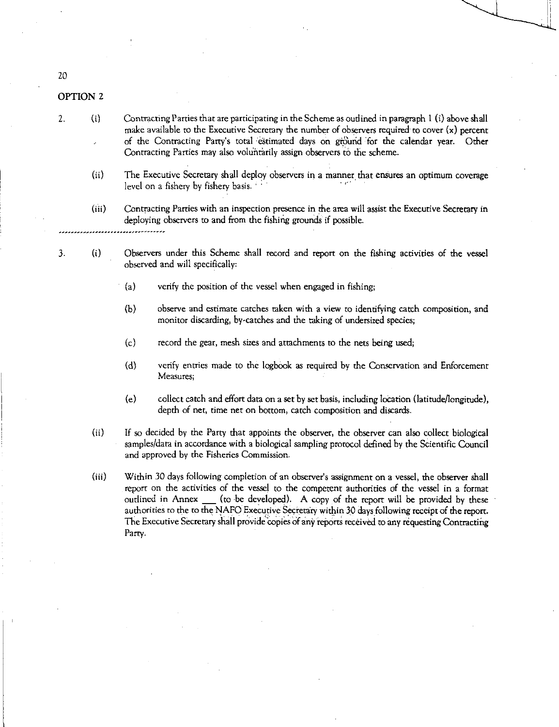### OPTION 2

- 2. (i) Contracting Parties that are participating in the Scheme as outlined in paragraph 1 (i) above shall make available to the Executive Secretary the number of observers required to cover (x) percent of the Contracting Party's total .'estimated days on giOurid for the calendar year. Other Contracting Parties may also voluntarily assign observers to the scheme.
	- (ii) The Executive Secretary shall deploy observers in a manner that ensures an optimum coverage level on a fishery by fishery basis.
	- (iii) Contracting Parties with an inspection presence in the area will assist the Executive Secretary in deploying observers to and from the fishing grounds if possible.
- 3. (i) Observers under this Scheme shall record and report on the fishing activities of the vessel observed and will specifically:
	- (a) verify the position of the vessel when engaged in fishing;
	- (b) observe and estimate catches taken with a view to identifying catch composition, and monitor discarding, by-catches and the taking of undersized species;
	- (c) record the gear, mesh sizes and attachments to the nets being used;
	- (d) verify entries made to the logbook as required by the Conservation and Enforcement Measures;
	- (e) collect catch and effort data on a set by set basis, including location (latitude/longitude), depth of net, time net on bottom, catch composition and discards.
	- $(ii)$ If so decided by the Party that appoints the observer, the observer can also collect biological samples/data in accordance with a biological sampling protocol defined by the Scientific Council and approved by the Fisheries Commission.
	- (iii) Within 30 days following completion of an observer's assignment on a vessel, the observer shall report on the activities of the vessel to the competent authorities of the vessel in a format outlined in Annex (to be developed). A copy of the report will be provided by these authorities to the to the NAFO Executive Secretary within 30 days following receipt of the report. The Executive Secretary sitall provide 'copies of any reports received to any requesting Contracting Parry.